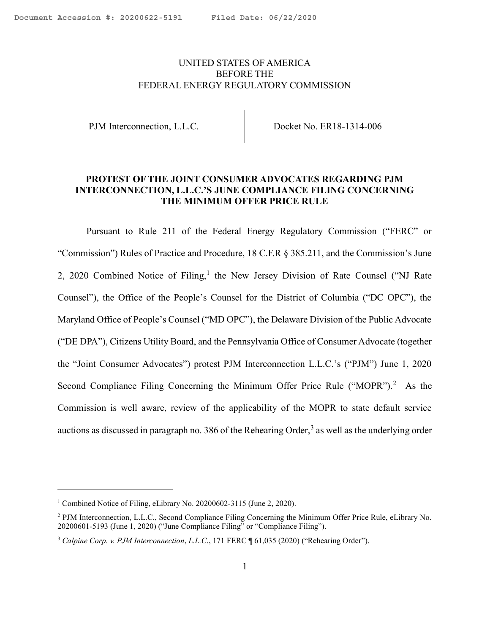#### <span id="page-0-0"></span>UNITED STATES OF AMERICA BEFORE THE FEDERAL ENERGY REGULATORY COMMISSION

PJM Interconnection, L.L.C. Docket No. ER18-1314-006

#### PROTEST OF THE JOINT CONSUMER ADVOCATES REGARDING PJM INTERCONNECTION, L.L.C.'S JUNE COMPLIANCE FILING CONCERNING THE MINIMUM OFFER PRICE RULE

Pursuant to Rule 211 of the Federal Energy Regulatory Commission ("FERC" or "Commission") Rules of Practice and Procedure, 18 C.F.R § 385.211, and the Commission's June 2, 2020 Combined Notice of Filing,<sup>1</sup> the New Jersey Division of Rate Counsel ("NJ Rate Counsel"), the Office of the People's Counsel for the District of Columbia ("DC OPC"), the Maryland Office of People's Counsel ("MD OPC"), the Delaware Division of the Public Advocate ("DE DPA"), Citizens Utility Board, and the Pennsylvania Office of Consumer Advocate (together the "Joint Consumer Advocates") protest PJM Interconnection L.L.C.'s ("PJM") June 1, 2020 Second Compliance Filing Concerning the Minimum Offer Price Rule ("MOPR").<sup>2</sup> As the Commission is well aware, review of the applicability of the MOPR to state default service auctions as discussed in paragraph no. 386 of the Rehearing Order,  $3$  as well as the underlying order

<sup>&</sup>lt;sup>1</sup> Combined Notice of Filing, eLibrary No. 20200602-3115 (June 2, 2020).

<sup>&</sup>lt;sup>2</sup> PJM Interconnection, L.L.C., Second Compliance Filing Concerning the Minimum Offer Price Rule, eLibrary No. 20200601-5193 (June 1, 2020) ("June Compliance Filing" or "Compliance Filing").

 $3$  Calpine Corp. v. PJM Interconnection, L.L.C., 171 FERC  $\P$  61,035 (2020) ("Rehearing Order").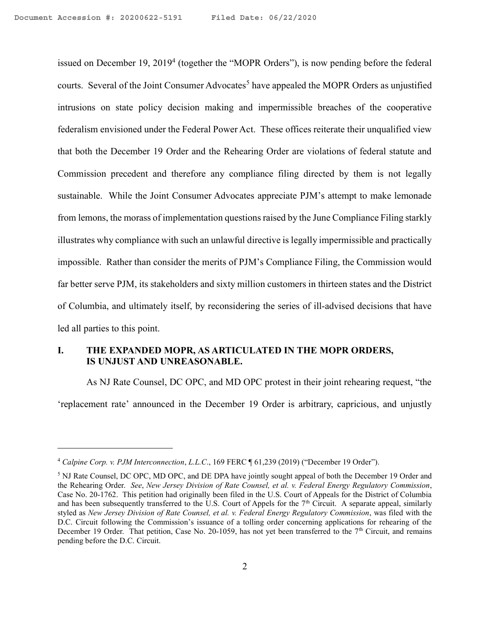issued on December 19, 2019<sup>4</sup> (together the "MOPR Orders"), is now pending before the federal courts. Several of the Joint Consumer Advocates<sup>5</sup> have appealed the MOPR Orders as unjustified intrusions on state policy decision making and impermissible breaches of the cooperative federalism envisioned under the Federal Power Act. These offices reiterate their unqualified view that both the December 19 Order and the Rehearing Order are violations of federal statute and Commission precedent and therefore any compliance filing directed by them is not legally sustainable. While the Joint Consumer Advocates appreciate PJM's attempt to make lemonade from lemons, the morass of implementation questions raised by the June Compliance Filing starkly illustrates why compliance with such an unlawful directive is legally impermissible and practically impossible. Rather than consider the merits of PJM's Compliance Filing, the Commission would far better serve PJM, its stakeholders and sixty million customers in thirteen states and the District of Columbia, and ultimately itself, by reconsidering the series of ill-advised decisions that have led all parties to this point.

### I. THE EXPANDED MOPR, AS ARTICULATED IN THE MOPR ORDERS, IS UNJUST AND UNREASONABLE.

As NJ Rate Counsel, DC OPC, and MD OPC protest in their joint rehearing request, "the 'replacement rate' announced in the December 19 Order is arbitrary, capricious, and unjustly

<sup>4</sup> Calpine Corp. v. PJM Interconnection, L.L.C., 169 FERC ¶ 61,239 (2019) ("December 19 Order").

<sup>&</sup>lt;sup>5</sup> NJ Rate Counsel, DC OPC, MD OPC, and DE DPA have jointly sought appeal of both the December 19 Order and the Rehearing Order. See, New Jersey Division of Rate Counsel, et al. v. Federal Energy Regulatory Commission, Case No. 20-1762. This petition had originally been filed in the U.S. Court of Appeals for the District of Columbia and has been subsequently transferred to the U.S. Court of Appels for the  $7<sup>th</sup>$  Circuit. A separate appeal, similarly styled as New Jersey Division of Rate Counsel, et al. v. Federal Energy Regulatory Commission, was filed with the D.C. Circuit following the Commission's issuance of a tolling order concerning applications for rehearing of the December 19 Order. That petition, Case No. 20-1059, has not yet been transferred to the 7<sup>th</sup> Circuit, and remains pending before the D.C. Circuit.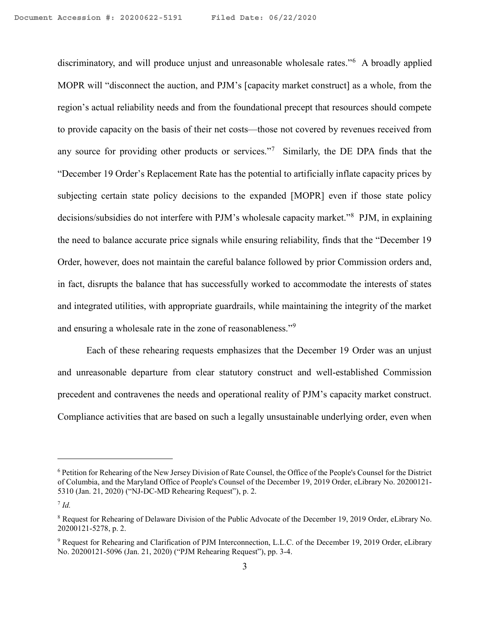discriminatory, and will produce unjust and unreasonable wholesale rates."<sup>6</sup> A broadly applied MOPR will "disconnect the auction, and PJM's [capacity market construct] as a whole, from the region's actual reliability needs and from the foundational precept that resources should compete to provide capacity on the basis of their net costs—those not covered by revenues received from any source for providing other products or services."<sup>7</sup> Similarly, the DE DPA finds that the "December 19 Order's Replacement Rate has the potential to artificially inflate capacity prices by subjecting certain state policy decisions to the expanded [MOPR] even if those state policy decisions/subsidies do not interfere with PJM's wholesale capacity market."<sup>8</sup> PJM, in explaining the need to balance accurate price signals while ensuring reliability, finds that the "December 19 Order, however, does not maintain the careful balance followed by prior Commission orders and, in fact, disrupts the balance that has successfully worked to accommodate the interests of states and integrated utilities, with appropriate guardrails, while maintaining the integrity of the market and ensuring a wholesale rate in the zone of reasonableness."<sup>9</sup>

Each of these rehearing requests emphasizes that the December 19 Order was an unjust and unreasonable departure from clear statutory construct and well-established Commission precedent and contravenes the needs and operational reality of PJM's capacity market construct. Compliance activities that are based on such a legally unsustainable underlying order, even when

<sup>6</sup> Petition for Rehearing of the New Jersey Division of Rate Counsel, the Office of the People's Counsel for the District of Columbia, and the Maryland Office of People's Counsel of the December 19, 2019 Order, eLibrary No. 20200121- 5310 (Jan. 21, 2020) ("NJ-DC-MD Rehearing Request"), p. 2.

 $^7$  Id.

<sup>&</sup>lt;sup>8</sup> Request for Rehearing of Delaware Division of the Public Advocate of the December 19, 2019 Order, eLibrary No. 20200121-5278, p. 2.

<sup>9</sup> Request for Rehearing and Clarification of PJM Interconnection, L.L.C. of the December 19, 2019 Order, eLibrary No. 20200121-5096 (Jan. 21, 2020) ("PJM Rehearing Request"), pp. 3-4.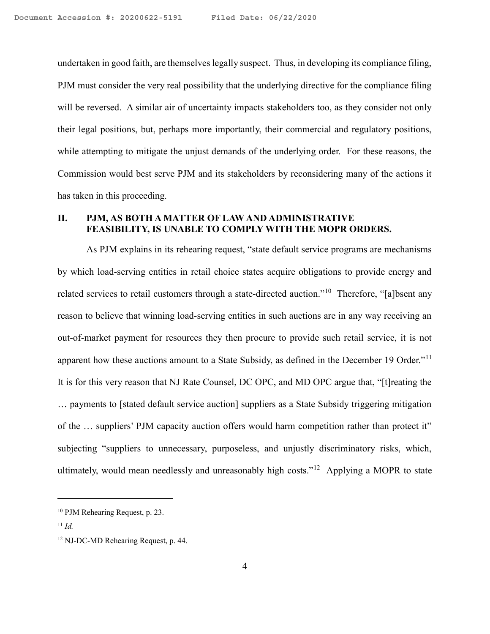undertaken in good faith, are themselves legally suspect. Thus, in developing its compliance filing, PJM must consider the very real possibility that the underlying directive for the compliance filing will be reversed. A similar air of uncertainty impacts stakeholders too, as they consider not only their legal positions, but, perhaps more importantly, their commercial and regulatory positions, while attempting to mitigate the unjust demands of the underlying order. For these reasons, the Commission would best serve PJM and its stakeholders by reconsidering many of the actions it has taken in this proceeding.

# II. PJM, AS BOTH A MATTER OF LAW AND ADMINISTRATIVE FEASIBILITY, IS UNABLE TO COMPLY WITH THE MOPR ORDERS.

As PJM explains in its rehearing request, "state default service programs are mechanisms by which load-serving entities in retail choice states acquire obligations to provide energy and related services to retail customers through a state-directed auction."<sup>10</sup> Therefore, "[a]bsent any reason to believe that winning load-serving entities in such auctions are in any way receiving an out-of-market payment for resources they then procure to provide such retail service, it is not apparent how these auctions amount to a State Subsidy, as defined in the December 19 Order."<sup>11</sup> It is for this very reason that NJ Rate Counsel, DC OPC, and MD OPC argue that, "[t]reating the … payments to [stated default service auction] suppliers as a State Subsidy triggering mitigation of the … suppliers' PJM capacity auction offers would harm competition rather than protect it" subjecting "suppliers to unnecessary, purposeless, and unjustly discriminatory risks, which, ultimately, would mean needlessly and unreasonably high costs."<sup>12</sup> Applying a MOPR to state

<sup>10</sup> PJM Rehearing Request, p. 23.

 $11$  *Id.* 

<sup>12</sup> NJ-DC-MD Rehearing Request, p. 44.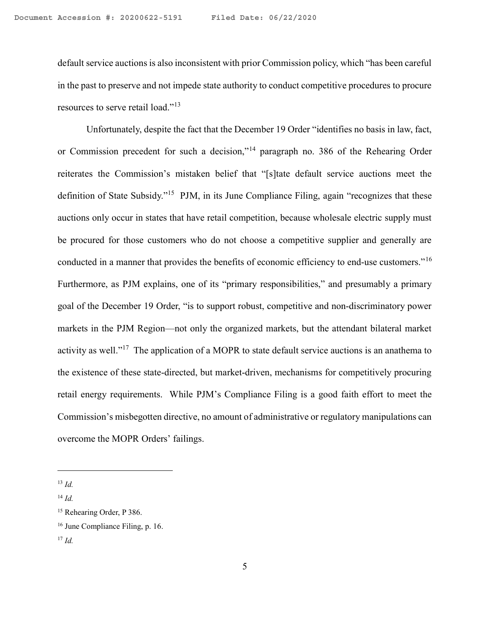default service auctions is also inconsistent with prior Commission policy, which "has been careful in the past to preserve and not impede state authority to conduct competitive procedures to procure resources to serve retail load."<sup>13</sup>

Unfortunately, despite the fact that the December 19 Order "identifies no basis in law, fact, or Commission precedent for such a decision,"<sup>14</sup> paragraph no. 386 of the Rehearing Order reiterates the Commission's mistaken belief that "[s]tate default service auctions meet the definition of State Subsidy."<sup>15</sup> PJM, in its June Compliance Filing, again "recognizes that these auctions only occur in states that have retail competition, because wholesale electric supply must be procured for those customers who do not choose a competitive supplier and generally are conducted in a manner that provides the benefits of economic efficiency to end-use customers."<sup>16</sup> Furthermore, as PJM explains, one of its "primary responsibilities," and presumably a primary goal of the December 19 Order, "is to support robust, competitive and non-discriminatory power markets in the PJM Region—not only the organized markets, but the attendant bilateral market activity as well."<sup>17</sup> The application of a MOPR to state default service auctions is an anathema to the existence of these state-directed, but market-driven, mechanisms for competitively procuring retail energy requirements. While PJM's Compliance Filing is a good faith effort to meet the Commission's misbegotten directive, no amount of administrative or regulatory manipulations can overcome the MOPR Orders' failings.

 $13$  *Id.* 

 $14$  *Id.* 

<sup>&</sup>lt;sup>15</sup> Rehearing Order, P 386.

<sup>&</sup>lt;sup>16</sup> June Compliance Filing, p. 16.

 $17$  *Id.*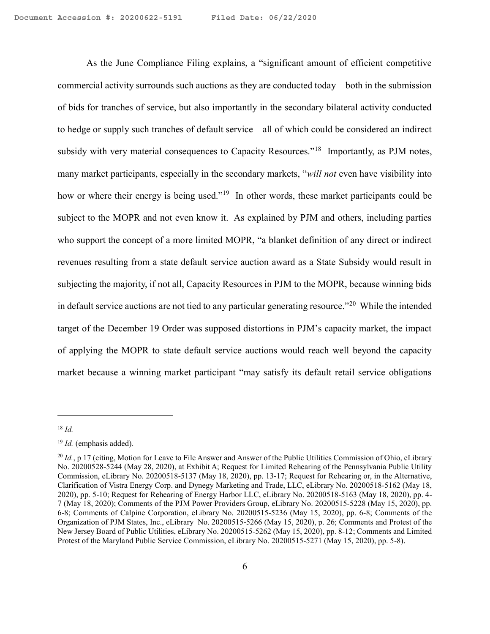As the June Compliance Filing explains, a "significant amount of efficient competitive commercial activity surrounds such auctions as they are conducted today—both in the submission of bids for tranches of service, but also importantly in the secondary bilateral activity conducted to hedge or supply such tranches of default service—all of which could be considered an indirect subsidy with very material consequences to Capacity Resources."<sup>18</sup> Importantly, as PJM notes, many market participants, especially in the secondary markets, "will not even have visibility into how or where their energy is being used."<sup>19</sup> In other words, these market participants could be subject to the MOPR and not even know it. As explained by PJM and others, including parties who support the concept of a more limited MOPR, "a blanket definition of any direct or indirect revenues resulting from a state default service auction award as a State Subsidy would result in subjecting the majority, if not all, Capacity Resources in PJM to the MOPR, because winning bids in default service auctions are not tied to any particular generating resource."<sup>20</sup> While the intended target of the December 19 Order was supposed distortions in PJM's capacity market, the impact of applying the MOPR to state default service auctions would reach well beyond the capacity market because a winning market participant "may satisfy its default retail service obligations

 $18$  Id.

 $19$  *Id.* (emphasis added).

 $^{20}$  Id., p 17 (citing, Motion for Leave to File Answer and Answer of the Public Utilities Commission of Ohio, eLibrary No. 20200528-5244 (May 28, 2020), at Exhibit A; Request for Limited Rehearing of the Pennsylvania Public Utility Commission, eLibrary No. 20200518-5137 (May 18, 2020), pp. 13-17; Request for Rehearing or, in the Alternative, Clarification of Vistra Energy Corp. and Dynegy Marketing and Trade, LLC, eLibrary No. 20200518-5162 (May 18, 2020), pp. 5-10; Request for Rehearing of Energy Harbor LLC, eLibrary No. 20200518-5163 (May 18, 2020), pp. 4- 7 (May 18, 2020); Comments of the PJM Power Providers Group, eLibrary No. 20200515-5228 (May 15, 2020), pp. 6-8; Comments of Calpine Corporation, eLibrary No. 20200515-5236 (May 15, 2020), pp. 6-8; Comments of the Organization of PJM States, Inc., eLibrary No. 20200515-5266 (May 15, 2020), p. 26; Comments and Protest of the New Jersey Board of Public Utilities, eLibrary No. 20200515-5262 (May 15, 2020), pp. 8-12; Comments and Limited Protest of the Maryland Public Service Commission, eLibrary No. 20200515-5271 (May 15, 2020), pp. 5-8).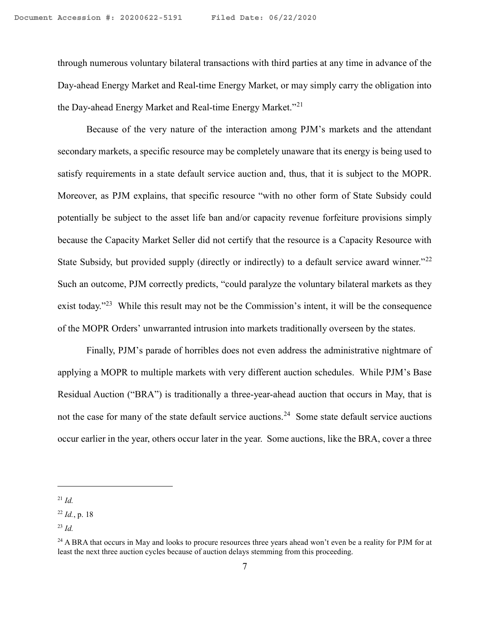through numerous voluntary bilateral transactions with third parties at any time in advance of the Day-ahead Energy Market and Real-time Energy Market, or may simply carry the obligation into the Day-ahead Energy Market and Real-time Energy Market."<sup>21</sup>

Because of the very nature of the interaction among PJM's markets and the attendant secondary markets, a specific resource may be completely unaware that its energy is being used to satisfy requirements in a state default service auction and, thus, that it is subject to the MOPR. Moreover, as PJM explains, that specific resource "with no other form of State Subsidy could potentially be subject to the asset life ban and/or capacity revenue forfeiture provisions simply because the Capacity Market Seller did not certify that the resource is a Capacity Resource with State Subsidy, but provided supply (directly or indirectly) to a default service award winner."<sup>22</sup> Such an outcome, PJM correctly predicts, "could paralyze the voluntary bilateral markets as they exist today."<sup>23</sup> While this result may not be the Commission's intent, it will be the consequence of the MOPR Orders' unwarranted intrusion into markets traditionally overseen by the states.

Finally, PJM's parade of horribles does not even address the administrative nightmare of applying a MOPR to multiple markets with very different auction schedules. While PJM's Base Residual Auction ("BRA") is traditionally a three-year-ahead auction that occurs in May, that is not the case for many of the state default service auctions.<sup>24</sup> Some state default service auctions occur earlier in the year, others occur later in the year. Some auctions, like the BRA, cover a three

 $^{21}$  *Id.* 

 $^{22}$  *Id.*, p. 18

 $^{23}$  *Id.* 

<sup>&</sup>lt;sup>24</sup> A BRA that occurs in May and looks to procure resources three years ahead won't even be a reality for PJM for at least the next three auction cycles because of auction delays stemming from this proceeding.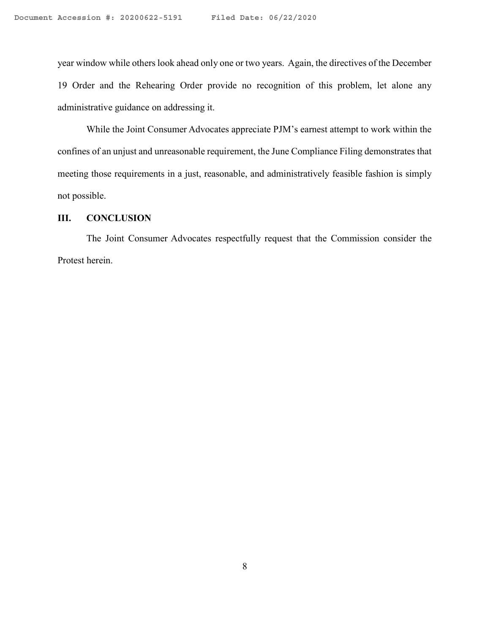year window while others look ahead only one or two years. Again, the directives of the December 19 Order and the Rehearing Order provide no recognition of this problem, let alone any administrative guidance on addressing it.

While the Joint Consumer Advocates appreciate PJM's earnest attempt to work within the confines of an unjust and unreasonable requirement, the June Compliance Filing demonstrates that meeting those requirements in a just, reasonable, and administratively feasible fashion is simply not possible.

# III. CONCLUSION

The Joint Consumer Advocates respectfully request that the Commission consider the Protest herein.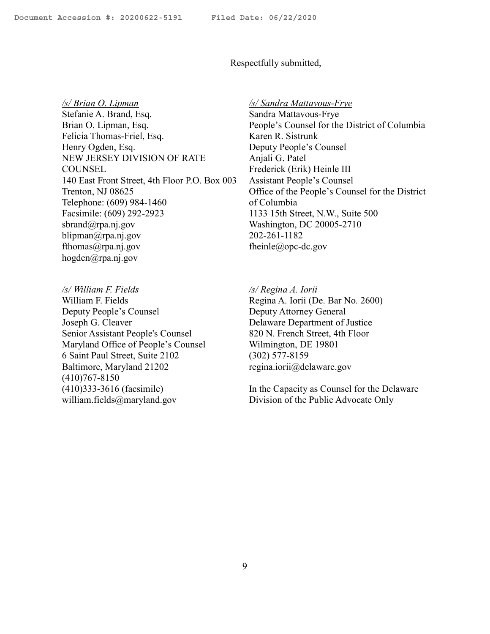#### Respectfully submitted,

/s/ Brian O. Lipman Stefanie A. Brand, Esq. Brian O. Lipman, Esq. Felicia Thomas-Friel, Esq. Henry Ogden, Esq. NEW JERSEY DIVISION OF RATE COUNSEL 140 East Front Street, 4th Floor P.O. Box 003 Trenton, NJ 08625 Telephone: (609) 984-1460 Facsimile: (609) 292-2923 sbrand@rpa.nj.gov blipman@rpa.nj.gov fthomas@rpa.nj.gov hogden@rpa.nj.gov

/s/ William F. Fields William F. Fields Deputy People's Counsel Joseph G. Cleaver Senior Assistant People's Counsel Maryland Office of People's Counsel 6 Saint Paul Street, Suite 2102 Baltimore, Maryland 21202 (410)767-8150 (410)333-3616 (facsimile) william.fields@maryland.gov

/s/ Sandra Mattavous-Frye Sandra Mattavous-Frye People's Counsel for the District of Columbia Karen R. Sistrunk Deputy People's Counsel Anjali G. Patel Frederick (Erik) Heinle III Assistant People's Counsel Office of the People's Counsel for the District of Columbia 1133 15th Street, N.W., Suite 500 Washington, DC 20005-2710 202-261-1182 fheinle@opc-dc.gov

/s/ Regina A. Iorii

Regina A. Iorii (De. Bar No. 2600) Deputy Attorney General Delaware Department of Justice 820 N. French Street, 4th Floor Wilmington, DE 19801 (302) 577-8159 regina.iorii@delaware.gov

In the Capacity as Counsel for the Delaware Division of the Public Advocate Only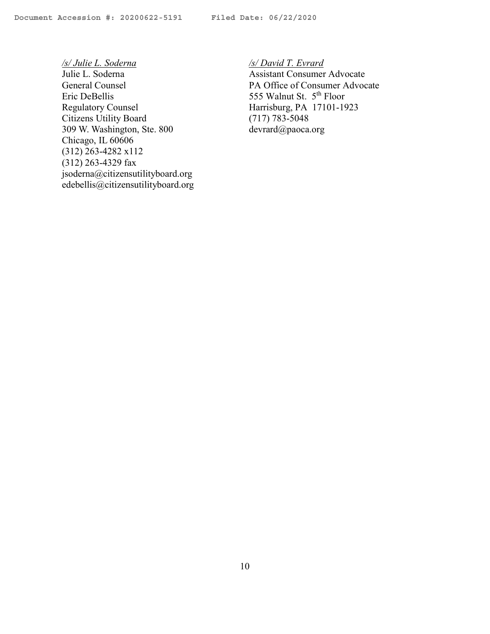/s/ Julie L. Soderna Julie L. Soderna General Counsel Eric DeBellis Regulatory Counsel Citizens Utility Board 309 W. Washington, Ste. 800 Chicago, IL 60606 (312) 263-4282 x112 (312) 263-4329 fax jsoderna@citizensutilityboard.org edebellis@citizensutilityboard.org /s/ David T. Evrard

Assistant Consumer Advocate PA Office of Consumer Advocate 555 Walnut St. 5<sup>th</sup> Floor Harrisburg, PA 17101-1923 (717) 783-5048 devrard@paoca.org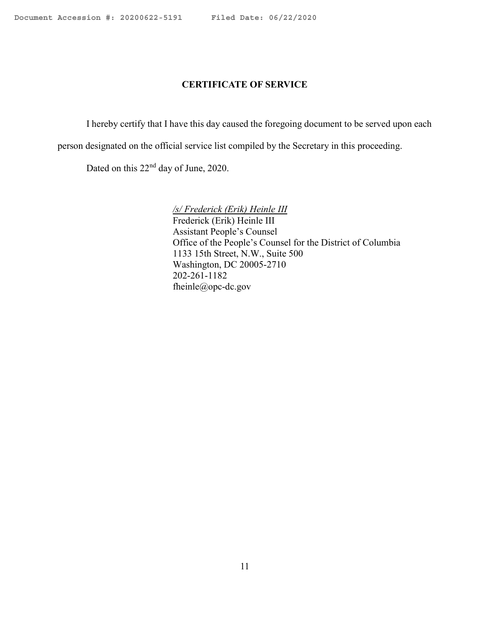# CERTIFICATE OF SERVICE

I hereby certify that I have this day caused the foregoing document to be served upon each

person designated on the official service list compiled by the Secretary in this proceeding.

Dated on this 22<sup>nd</sup> day of June, 2020.

/s/ Frederick (Erik) Heinle III Frederick (Erik) Heinle III Assistant People's Counsel Office of the People's Counsel for the District of Columbia 1133 15th Street, N.W., Suite 500 Washington, DC 20005-2710 202-261-1182 fheinle@opc-dc.gov